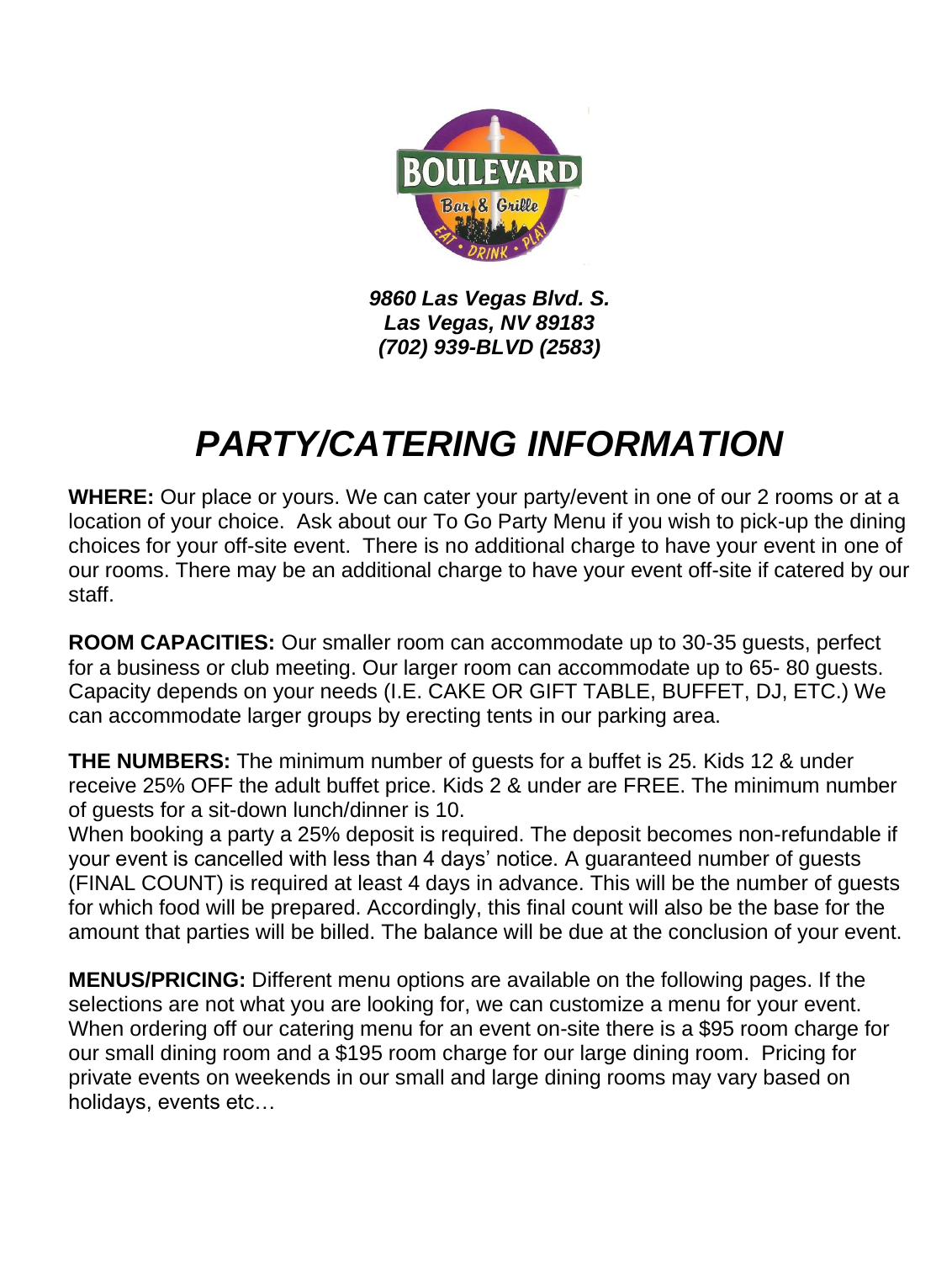

*9860 Las Vegas Blvd. S. Las Vegas, NV 89183 (702) 939-BLVD (2583)* 

### *PARTY/CATERING INFORMATION*

**WHERE:** Our place or yours. We can cater your party/event in one of our 2 rooms or at a location of your choice. Ask about our To Go Party Menu if you wish to pick-up the dining choices for your off-site event. There is no additional charge to have your event in one of our rooms. There may be an additional charge to have your event off-site if catered by our staff.

**ROOM CAPACITIES:** Our smaller room can accommodate up to 30-35 guests, perfect for a business or club meeting. Our larger room can accommodate up to 65- 80 guests. Capacity depends on your needs (I.E. CAKE OR GIFT TABLE, BUFFET, DJ, ETC.) We can accommodate larger groups by erecting tents in our parking area.

**THE NUMBERS:** The minimum number of guests for a buffet is 25. Kids 12 & under receive 25% OFF the adult buffet price. Kids 2 & under are FREE. The minimum number of guests for a sit-down lunch/dinner is 10.

When booking a party a 25% deposit is required. The deposit becomes non-refundable if your event is cancelled with less than 4 days' notice. A guaranteed number of guests (FINAL COUNT) is required at least 4 days in advance. This will be the number of guests for which food will be prepared. Accordingly, this final count will also be the base for the amount that parties will be billed. The balance will be due at the conclusion of your event.

**MENUS/PRICING:** Different menu options are available on the following pages. If the selections are not what you are looking for, we can customize a menu for your event. When ordering off our catering menu for an event on-site there is a \$95 room charge for our small dining room and a \$195 room charge for our large dining room. Pricing for private events on weekends in our small and large dining rooms may vary based on holidays, events etc…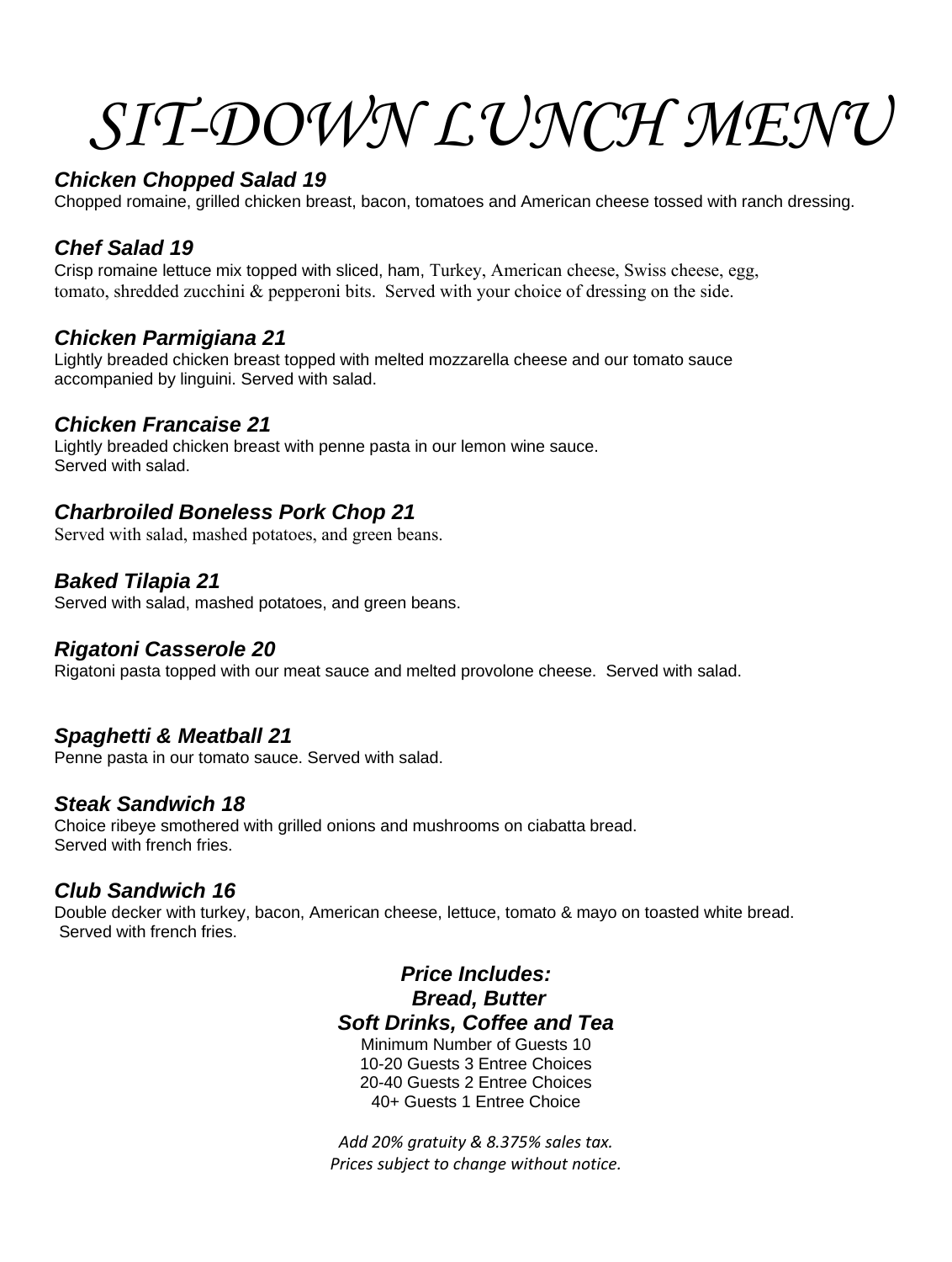# *SIT-DOWN LUNCH MENU*

#### *Chicken Chopped Salad 19*

Chopped romaine, grilled chicken breast, bacon, tomatoes and American cheese tossed with ranch dressing.

#### *Chef Salad 19*

Crisp romaine lettuce mix topped with sliced, ham, Turkey, American cheese, Swiss cheese, egg, tomato, shredded zucchini & pepperoni bits. Served with your choice of dressing on the side.

#### *Chicken Parmigiana 21*

Lightly breaded chicken breast topped with melted mozzarella cheese and our tomato sauce accompanied by linguini. Served with salad.

#### *Chicken Francaise 21*

Lightly breaded chicken breast with penne pasta in our lemon wine sauce. Served with salad.

#### *Charbroiled Boneless Pork Chop 21*

Served with salad, mashed potatoes, and green beans.

#### *Baked Tilapia 21*

Served with salad, mashed potatoes, and green beans.

#### *Rigatoni Casserole 20*

Rigatoni pasta topped with our meat sauce and melted provolone cheese. Served with salad.

#### *Spaghetti & Meatball 21*

Penne pasta in our tomato sauce. Served with salad.

#### *Steak Sandwich 18*

Choice ribeye smothered with grilled onions and mushrooms on ciabatta bread. Served with french fries.

#### *Club Sandwich 16*

Double decker with turkey, bacon, American cheese, lettuce, tomato & mayo on toasted white bread. Served with french fries.

#### *Price Includes: Bread, Butter*

*Soft Drinks, Coffee and Tea* 

Minimum Number of Guests 10 10-20 Guests 3 Entree Choices 20-40 Guests 2 Entree Choices 40+ Guests 1 Entree Choice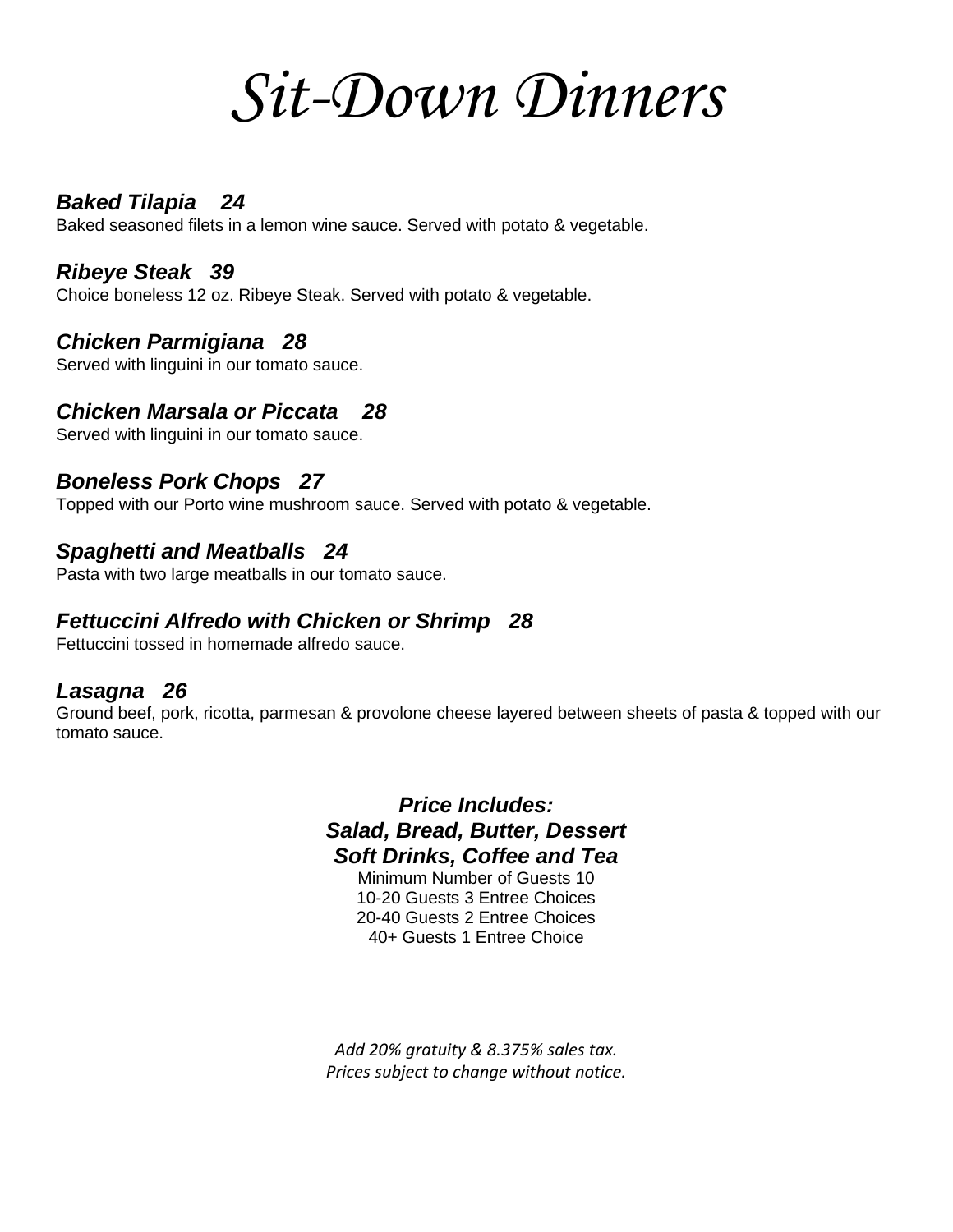# *Sit-Down Dinners*

#### *Baked Tilapia 24*

Baked seasoned filets in a lemon wine sauce. Served with potato & vegetable.

#### *Ribeye Steak 39*

Choice boneless 12 oz. Ribeye Steak. Served with potato & vegetable.

#### *Chicken Parmigiana 28*

Served with linguini in our tomato sauce.

#### *Chicken Marsala or Piccata 28*

Served with linguini in our tomato sauce.

#### *Boneless Pork Chops 27*

Topped with our Porto wine mushroom sauce. Served with potato & vegetable.

#### *Spaghetti and Meatballs 24*

Pasta with two large meatballs in our tomato sauce.

#### *Fettuccini Alfredo with Chicken or Shrimp 28*

Fettuccini tossed in homemade alfredo sauce.

#### *Lasagna 26*

Ground beef, pork, ricotta, parmesan & provolone cheese layered between sheets of pasta & topped with our tomato sauce.

> *Price Includes: Salad, Bread, Butter, Dessert Soft Drinks, Coffee and Tea*

Minimum Number of Guests 10 10-20 Guests 3 Entree Choices 20-40 Guests 2 Entree Choices 40+ Guests 1 Entree Choice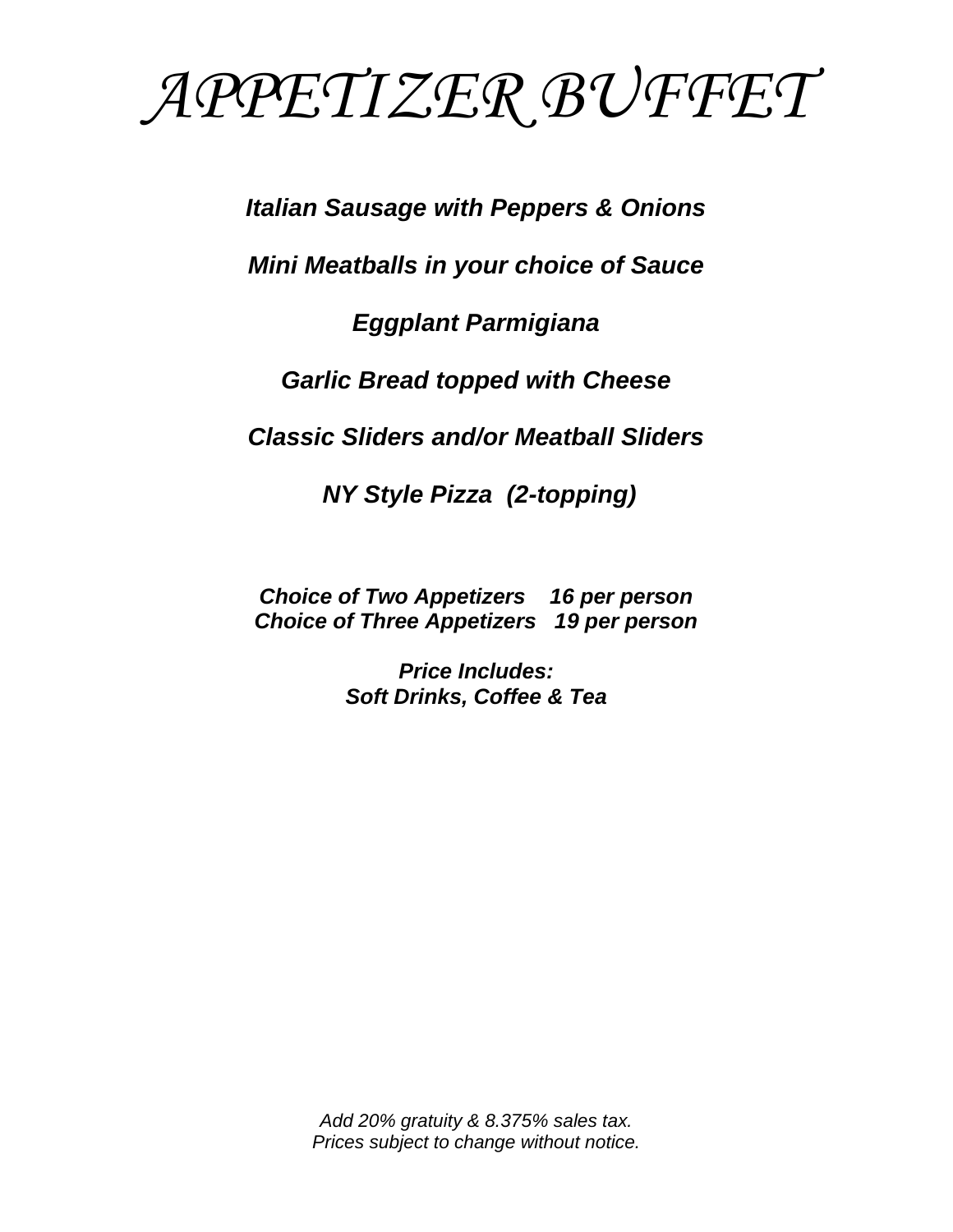

*Italian Sausage with Peppers & Onions*

*Mini Meatballs in your choice of Sauce* 

#### *Eggplant Parmigiana*

*Garlic Bread topped with Cheese*

*Classic Sliders and/or Meatball Sliders*

*NY Style Pizza (2-topping)*

*Choice of Two Appetizers 16 per person Choice of Three Appetizers 19 per person* 

> *Price Includes: Soft Drinks, Coffee & Tea*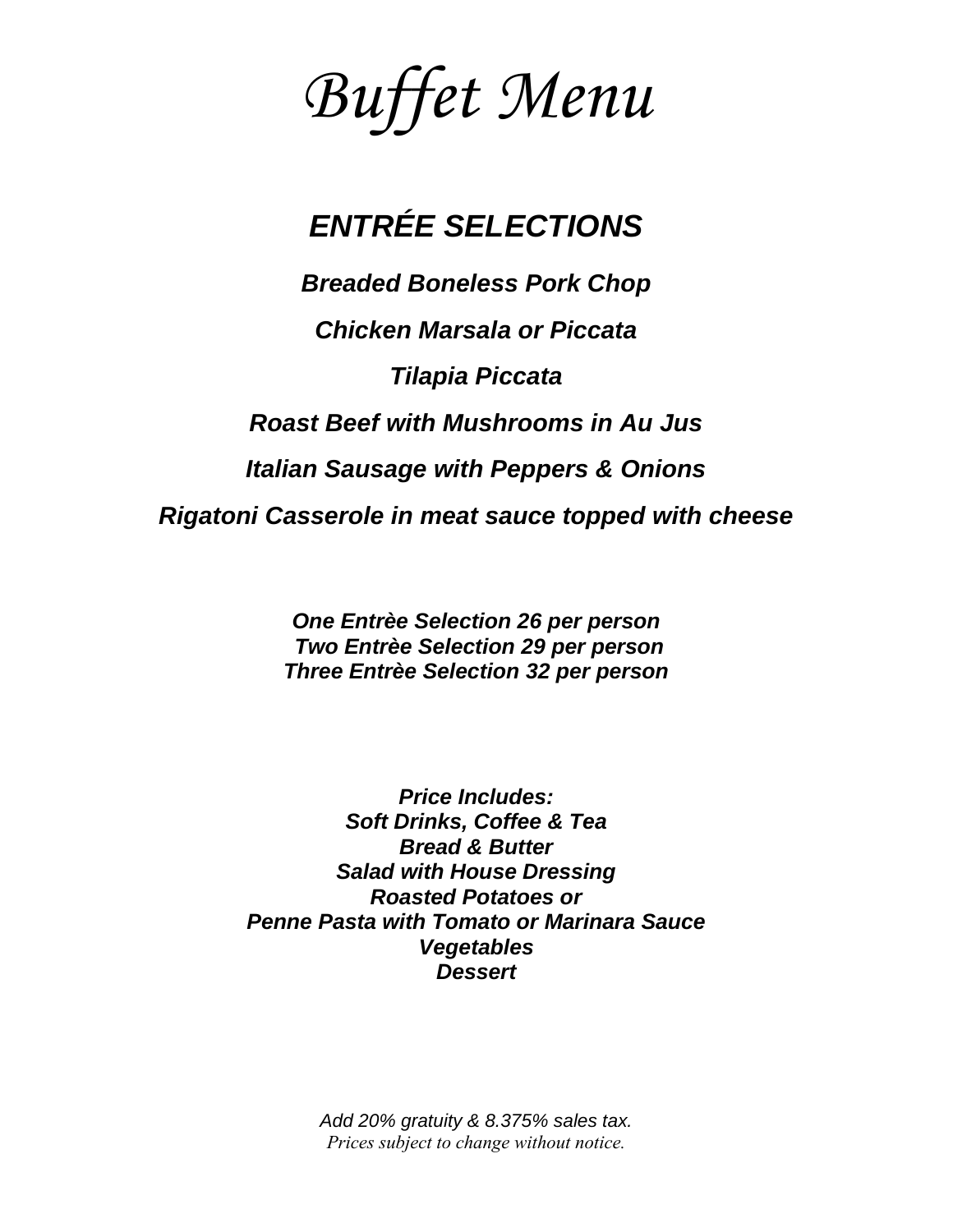*Buffet Menu*

### *ENTRÉE SELECTIONS*

*Breaded Boneless Pork Chop Chicken Marsala or Piccata Tilapia Piccata Roast Beef with Mushrooms in Au Jus Italian Sausage with Peppers & Onions Rigatoni Casserole in meat sauce topped with cheese*

> *One Entrèe Selection 26 per person Two Entrèe Selection 29 per person Three Entrèe Selection 32 per person*

*Price Includes: Soft Drinks, Coffee & Tea Bread & Butter Salad with House Dressing Roasted Potatoes or Penne Pasta with Tomato or Marinara Sauce Vegetables Dessert*